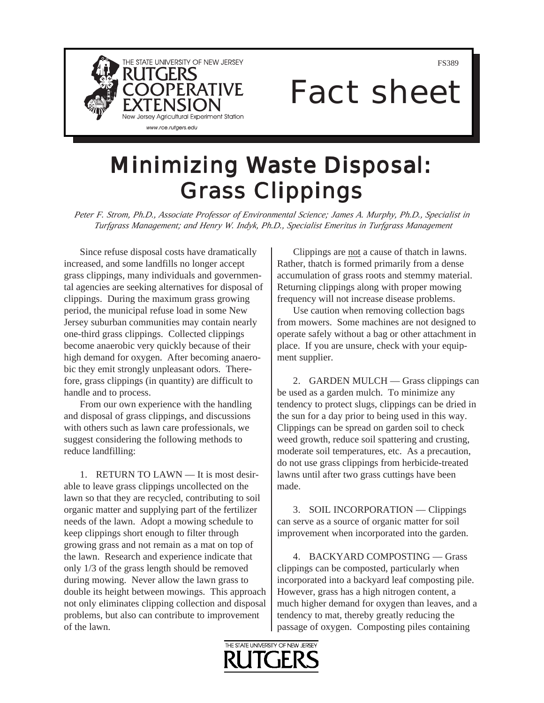

FS389

## Fact sheet

## **Minimizing Waste Disposal: Grass Clippings**

*Peter F. Strom, Ph.D., Associate Professor of Environmental Science; James A. Murphy, Ph.D., Specialist in Turfgrass Management; and Henry W. Indyk, Ph.D., Specialist Emeritus in Turfgrass Management*

Since refuse disposal costs have dramatically increased, and some landfills no longer accept grass clippings, many individuals and governmental agencies are seeking alternatives for disposal of clippings. During the maximum grass growing period, the municipal refuse load in some New Jersey suburban communities may contain nearly one-third grass clippings. Collected clippings become anaerobic very quickly because of their high demand for oxygen. After becoming anaerobic they emit strongly unpleasant odors. Therefore, grass clippings (in quantity) are difficult to handle and to process.

From our own experience with the handling and disposal of grass clippings, and discussions with others such as lawn care professionals, we suggest considering the following methods to reduce landfilling:

1. RETURN TO LAWN — It is most desirable to leave grass clippings uncollected on the lawn so that they are recycled, contributing to soil organic matter and supplying part of the fertilizer needs of the lawn. Adopt a mowing schedule to keep clippings short enough to filter through growing grass and not remain as a mat on top of the lawn. Research and experience indicate that only 1/3 of the grass length should be removed during mowing. Never allow the lawn grass to double its height between mowings. This approach not only eliminates clipping collection and disposal problems, but also can contribute to improvement of the lawn.

Clippings are not a cause of thatch in lawns. Rather, thatch is formed primarily from a dense accumulation of grass roots and stemmy material. Returning clippings along with proper mowing frequency will not increase disease problems.

Use caution when removing collection bags from mowers. Some machines are not designed to operate safely without a bag or other attachment in place. If you are unsure, check with your equipment supplier.

2. GARDEN MULCH — Grass clippings can be used as a garden mulch. To minimize any tendency to protect slugs, clippings can be dried in the sun for a day prior to being used in this way. Clippings can be spread on garden soil to check weed growth, reduce soil spattering and crusting, moderate soil temperatures, etc. As a precaution, do not use grass clippings from herbicide-treated lawns until after two grass cuttings have been made.

3. SOIL INCORPORATION — Clippings can serve as a source of organic matter for soil improvement when incorporated into the garden.

4. BACKYARD COMPOSTING — Grass clippings can be composted, particularly when incorporated into a backyard leaf composting pile. However, grass has a high nitrogen content, a much higher demand for oxygen than leaves, and a tendency to mat, thereby greatly reducing the passage of oxygen. Composting piles containing